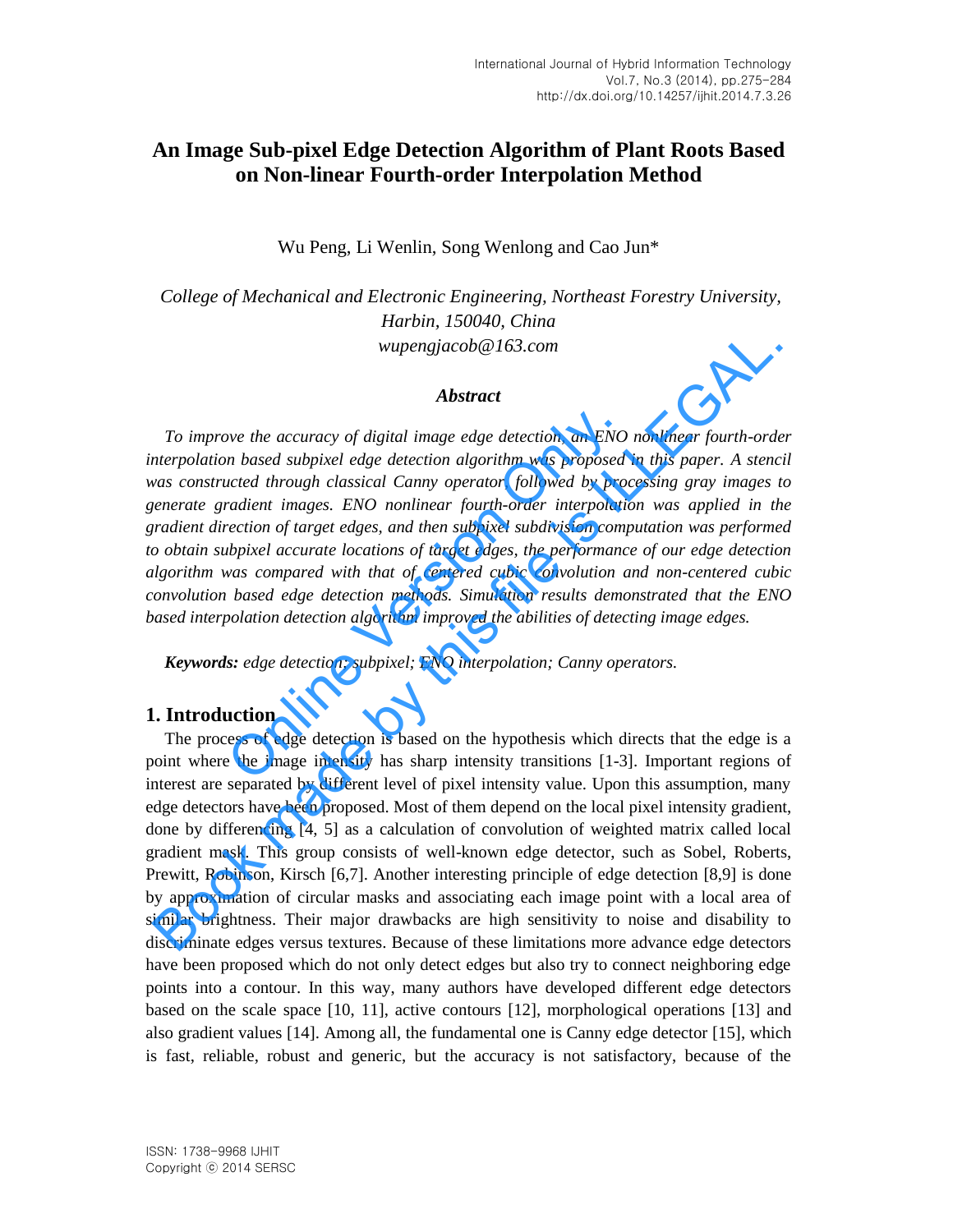# **An Image Sub-pixel Edge Detection Algorithm of Plant Roots Based on Non-linear Fourth-order Interpolation Method**

Wu Peng, Li Wenlin, Song Wenlong and Cao Jun\*

 *College of Mechanical and Electronic Engineering, Northeast Forestry University, Harbin, 150040, China wupengjacob@163.com*

#### *Abstract*

*To improve the accuracy of digital image edge detection, an ENO nonlinear fourth-order interpolation based subpixel edge detection algorithm was proposed in this paper. A stencil was constructed through classical Canny operator, followed by processing gray images to generate gradient images. ENO nonlinear fourth-order interpolation was applied in the gradient direction of target edges, and then subpixel subdivision computation was performed to obtain subpixel accurate locations of target edges, the performance of our edge detection algorithm was compared with that of centered cubic convolution and non-centered cubic convolution based edge detection methods. Simulation results demonstrated that the ENO based interpolation detection algorithm improved the abilities of detecting image edges.*  we the accuracy of digital image edge detection, an ENO<br>n based subpixel edge detection algorithm was proposed<br>acted through classical Canny operator, followed by provadient images. ENO nonlinear fourth-order interpolatic<br>

*Keywords: edge detection; subpixel; ENO interpolation; Canny operators.* 

### **1. Introduction**

The process of edge detection is based on the hypothesis which directs that the edge is a point where the image intensity has sharp intensity transitions [1-3]. Important regions of interest are separated by different level of pixel intensity value. Upon this assumption, many edge detectors have been proposed. Most of them depend on the local pixel intensity gradient, done by differencing [4, 5] as a calculation of convolution of weighted matrix called local gradient mask. This group consists of well-known edge detector, such as Sobel, Roberts, Prewitt, Robinson, Kirsch [6,7]. Another interesting principle of edge detection [8,9] is done by approximation of circular masks and associating each image point with a local area of similar brightness. Their major drawbacks are high sensitivity to noise and disability to discriminate edges versus textures. Because of these limitations more advance edge detectors have been proposed which do not only detect edges but also try to connect neighboring edge points into a contour. In this way, many authors have developed different edge detectors based on the scale space [10, 11], active contours [12], morphological operations [13] and also gradient values [14]. Among all, the fundamental one is Canny edge detector [15], which is fast, reliable, robust and generic, but the accuracy is not satisfactory, because of the **Abstract**<br> **Abstract**<br> **Abstract**<br> **Book made in the accuracy** of digital image edge detection, an ENO nonlinear fourth-ord<br>
interpolation based subpixel edge detection algorithm was proposed in this paper. A stence<br>
tra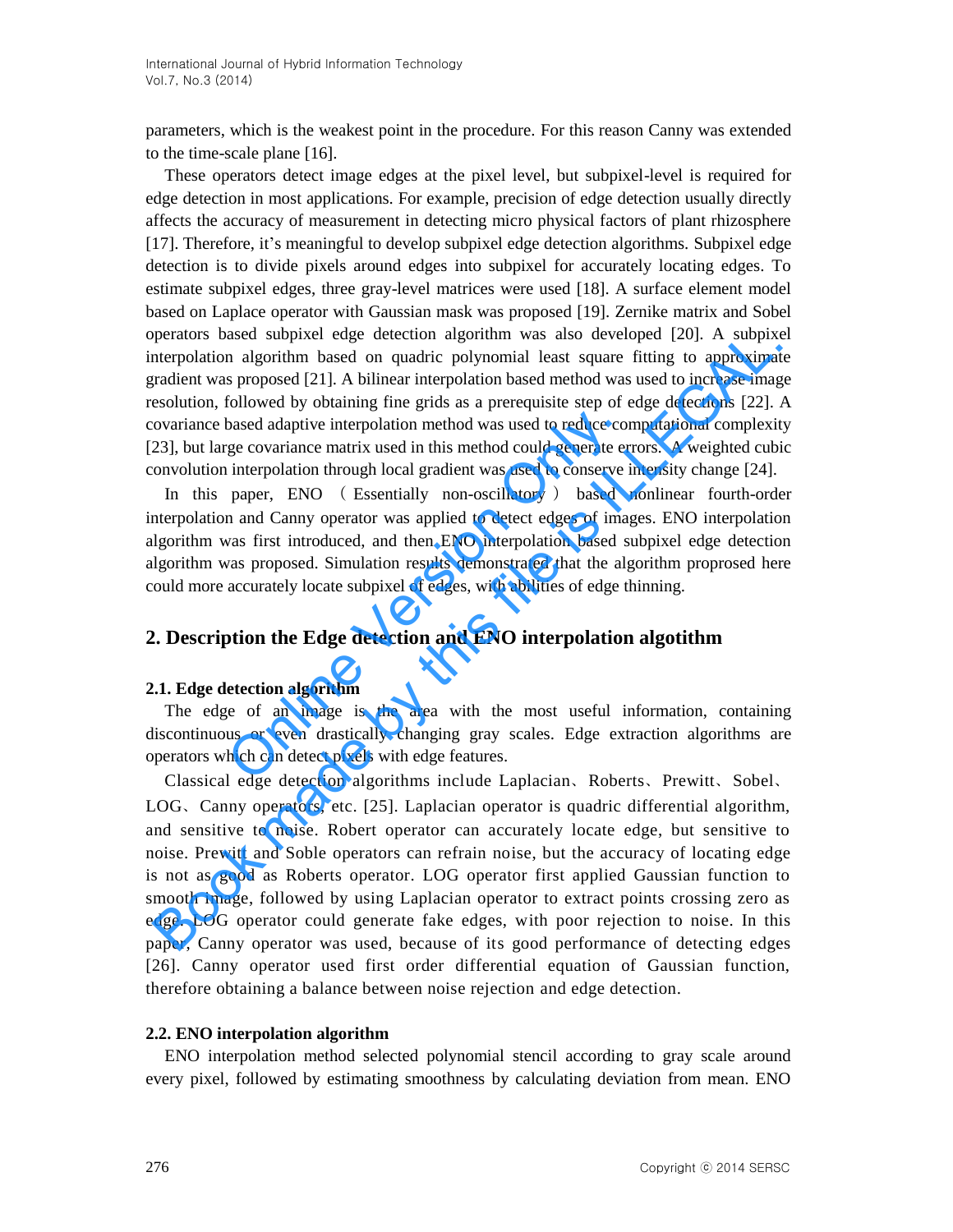parameters, which is the weakest point in the procedure. For this reason Canny was extended to the time-scale plane [16].

These operators detect image edges at the pixel level, but subpixel-level is required for edge detection in most applications. For example, precision of edge detection usually directly affects the accuracy of measurement in detecting micro physical factors of plant rhizosphere [17]. Therefore, it's meaningful to develop subpixel edge detection algorithms. Subpixel edge detection is to divide pixels around edges into subpixel for accurately locating edges. To estimate subpixel edges, three gray-level matrices were used [18]. A surface element model based on Laplace operator with Gaussian mask was proposed [19]. Zernike matrix and Sobel operators based subpixel edge detection algorithm was also developed [20]. A subpixel interpolation algorithm based on quadric polynomial least square fitting to approximate gradient was proposed [21]. A bilinear interpolation based method was used to increase image resolution, followed by obtaining fine grids as a prerequisite step of edge detections [22]. A covariance based adaptive interpolation method was used to reduce computational complexity [23], but large covariance matrix used in this method could generate errors. A weighted cubic convolution interpolation through local gradient was used to conserve intensity change [24].

In this paper, ENO ( Essentially non-oscillatory ) based nonlinear fourth-order interpolation and Canny operator was applied to detect edges of images. ENO interpolation algorithm was first introduced, and then ENO interpolation based subpixel edge detection algorithm was proposed. Simulation results demonstrated that the algorithm proprosed here could more accurately locate subpixel of edges, with abilities of edge thinning. based adaptive interpolation method was used to reduce corriding covariance matrix used in this method could generate er interpolation through local gradient was used to conserve in paper, ENO (Essentially non-oscillatory)

# **2. Description the Edge detection and ENO interpolation algotithm**

#### **2.1. Edge detection algorithm**

The edge of an image is the area with the most useful information, containing discontinuous or even drastically changing gray scales. Edge extraction algorithms are operators which can detect pixels with edge features.

Classical edge detection algorithms include Laplacian、Roberts、Prewitt、Sobel、 LOG、Canny operators, etc. [25]. Laplacian operator is quadric differential algorithm, and sensitive to noise. Robert operator can accurately locate edge, but sensitive to noise. Prewitt and Soble operators can refrain noise, but the accuracy of locating edge is not as good as Roberts operator. LOG operator first applied Gaussian function to smooth image, followed by using Laplacian operator to extract points crossing zero as edge. LOG operator could generate fake edges, with poor rejection to noise. In this paper, Canny operator was used, because of its good performance of detecting edges [26]. Canny operator used first order differential equation of Gaussian function, therefore obtaining a balance between noise rejection and edge detection. perators based subpytel edge detection algorithm was also developed 2001. A subparenty based on apartim-based on quadric phynomial last square fitting to approximate<br>radient was proposed [21]. A bilinear interpolation base

#### **2.2. ENO interpolation algorithm**

ENO interpolation method selected polynomial stencil according to gray scale around every pixel, followed by estimating smoothness by calculating deviation from mean. ENO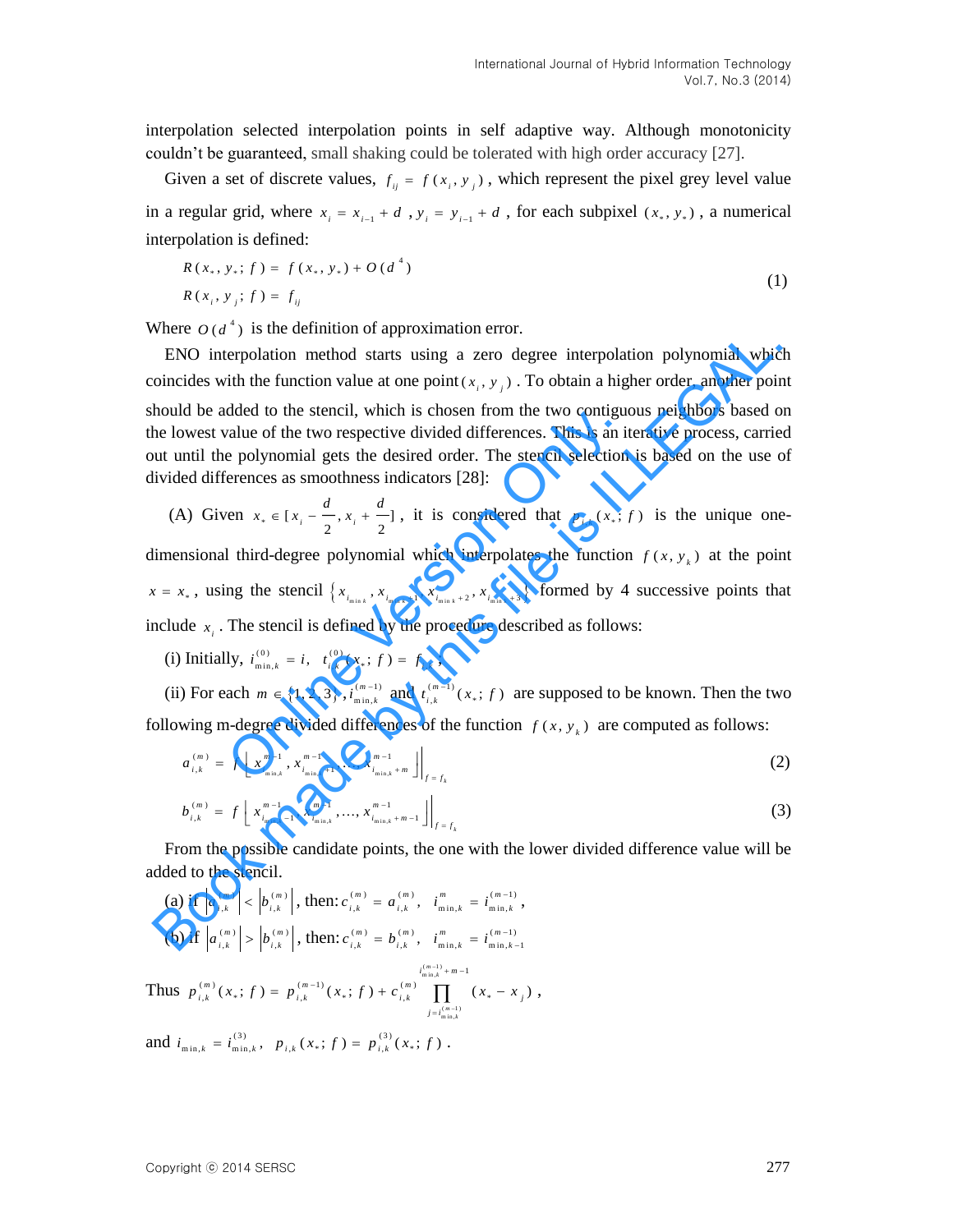interpolation selected interpolation points in self adaptive way. Although monotonicity couldn't be guaranteed, small shaking could be tolerated with high order accuracy [27].

Given a set of discrete values,  $f_{ij} = f(x_i, y_j)$ , which represent the pixel grey level value in a regular grid, where  $x_i = x_{i-1} + d$ ,  $y_i = y_{i-1} + d$ , for each subpixel  $(x_*, y_*)$ , a numerical interpolation is defined:

$$
R(x_*, y_*; f) = f(x_*, y_*) + O(d^4)
$$
  
\n
$$
R(x_i, y_j; f) = f_{ij}
$$
\n(1)

Where  $O(d^4)$  is the definition of approximation error.

ENO interpolation method starts using a zero degree interpolation polynomial which coincides with the function value at one point  $(x_i, y_j)$ . To obtain a higher order, another point should be added to the stencil, which is chosen from the two contiguous neighbors based on the lowest value of the two respective divided differences. This is an iterative process, carried out until the polynomial gets the desired order. The stencil selection is based on the use of divided differences as smoothness indicators [28]: Where  $O(u)$  is the terminor of approximation entity.<br>
ENO interpolation method starts using a zero degree interpolation polynomial which<br>
oincides with the function value at one point  $(x_i, y_j)$ . To obtain a higher order, a

(A) Given  $x_* \in [x_i - \frac{a}{n}, x_i + \frac{a}{n}]$  $i = \frac{1}{2}$ ,  $x_i + \frac{1}{2}$  $x_* \in [x_i - \frac{d}{n}, x_i + \frac{d}{n}]$ , it is considered that  $p_{i,k}(x_*)$  *j* is the unique one-

dimensional third-degree polynomial which interpolates the function  $f(x, y_k)$  at the point  $x = x_*$ , using the stencil  $\{x_{i_{\min k}}, x_{i_{\min k}+1}, x_{i_{\min k}+2}, x_{i_{\min k}+3}\}$  formed by 4 successive points that include  $x_i$ . The stencil is defined by the procedure described as follows: dued to the stench, which is chosen from the two contrigute<br>value of the two respective divided differences. This is an it<br>e polynomial gets the desired order. The stencil selection<br>erences as smoothness indicators [28]:<br>

(i) Initially,  $i_{\min k}^{(0)} = i$ ,  $t_{i k}^{(0)}$  $i_{\min,k}^{(0)} = i, t_{i,k}^{(0)}(x_*;f) = f_{i,k};$ 

(ii) For each  $m \in \{1, 2, 3\}$ ,  $i_{\min k}^{(m-1)}$ m in , *m*  $i_{\min,k}^{(m-1)}$  and  $t_{i,k}^{(m-1)}$  ( $x$ ; *f*) are supposed to be known. Then the two following m-degree divided differences of the function  $f(x, y_k)$  are computed as follows:

$$
a_{i,k}^{(m)} = f\left[x_{i_{\min,k}}^{m-1}, x_{i_{\min,k}+1}^{m-1}, \dots, x_{i_{\min,k}+m}^{m-1}\right]\Big|_{f=f_k}
$$
 (2)

$$
b_{i,k}^{(m)} = f\left[x_{i_{\min,k}-1}^{m-1}, x_{i_{\min,k}}^{m-1}, \dots, x_{i_{\min,k}+m-1}^{m-1}\right]\bigg|_{f=f_k}
$$
\n(3)

From the possible candidate points, the one with the lower divided difference value will be added to the stencil.

(a) if  $|a_{i,k}^{(m)}| < |b_{i,k}^{(m)}|$  $,k \mid \cdot \mid^{\circ} i,$  $a_{i,k}^{(m)} \leq b_{i,k}^{(m)} \bigg|$ , then:  $c_{i,k}^{(m)} = a_{i,k}^{(m)}$ ,  $i_{\min,k}^{(m)} = i_{\min,k}^{(m-1)}$  $c_{i,k}^{(m)} = a_{i,k}^{(m)}, \quad i_{\min,k}^{m} = i_{\min,k}^{(m-1)},$ (b) if  $|a_{i,k}^{(m)}| > |b_{i,k}^{(m)}|$  $,k \mid \in \lbrack \cdot \rbrack$  i,  $a_{i,k}^{(m)}$   $>$   $\left| b_{i,k}^{(m)} \right|$ , then:  $c_{i,k}^{(m)} = b_{i,k}^{(m)}$ ,  $i_{\min,k}^{m} = i_{\min,k-1}^{(m-1)}$  $c_{i,k}^{(m)} = b_{i,k}^{(m)}, \quad i_{\min,k}^{m} = i_{\min,k-k}^{(m-1)}$  $(m-1)$ <br>min, $k$  $\sum_{i_{m,n,k}}^{i_{m,n,k}}$ <br>  $\binom{m}{r}$  ( $r + f$ ) =  $n^{(m-1)}$  ( $r + f$ ) +  $c^{(m)}$  $\binom{n}{k}$ ,  $\binom{n}{k}$ ,  $\binom{n-1}{k}$ ,  $\binom{n}{k}$ ,  $\binom{n}{k}$ ,  $\binom{n}{k}$ ,  $\binom{n}{k}$ ,  $\binom{n}{k}$ ,  $\binom{n}{k}$ ,  $\binom{n}{k}$ ,  $\binom{n}{k}$ ,  $\binom{n}{k}$ ,  $\binom{n}{k}$ ,  $\binom{n}{k}$ ,  $\binom{n}{k}$ ,  $\binom{n}{k}$ ,  $\binom{n}{k}$ ,  $\binom{n}{k}$ ,  $\binom{n}{k}$ ,  $\binom{n}{k}$ ,  $f_{i,k}^{(m)}(x_*) f$  =  $p_{i,k}^{(m-1)}(x_*) f$   $f$  +  $c_{i,k}^{(m)}$  **m**  $f_{i,k}^{(m-1)}(x_* - x_j)$  $p_{i,k}^{(m)}(x_*,f) = p_{i,k}^{(m-1)}(x_*,f) + c_{i,k}^{(m)} \prod_{m,n,k}^{i_{m,n,k}^{(m-1)}+m-1} (x_* - x_*)$  $i_{\min,k}^{(m-1)} + m - 1$ <br>-1)

Thus  $\prod_{\substack{(m-1)\text{min},k}}$ *m k*  $\frac{1}{j-i}$ i, - $= p_{i,k}^{(m-1)}(x_{*};f) + c_{i,k}^{(m)} \prod (x_{*}-x_{j}),$ and  $i_{\min,k} = i_{\min,k}^{(3)}$ ,  $p_{i,k}(x_*) f) = p_{i,k}^{(3)}(x_*) f$ .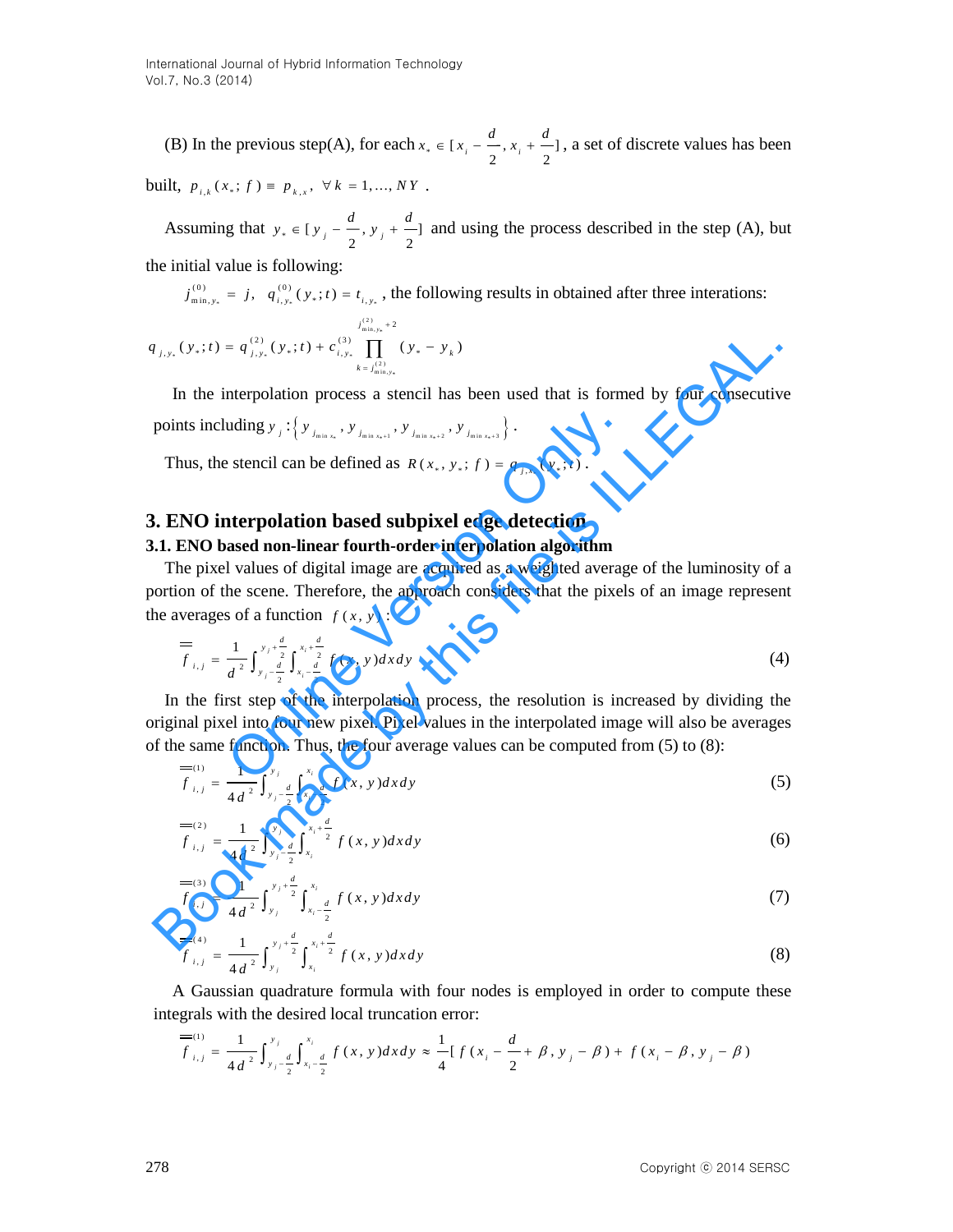(B) In the previous step(A), for each  $x_* \in [x_i - \frac{a}{n}, x_i + \frac{a}{n}]$  $i = \frac{1}{2}$ ,  $x_i + \frac{1}{2}$  $x_* \in [x_i - \frac{d}{x_i + \frac{d}{x_i}}]$ , a set of discrete values has been built,  $p_{i,k}(x_*) f) \equiv p_{k,x}, \forall k = 1,..., NY$ .

Assuming that  $y_* \in [y_j - \frac{a}{2}, y_j + \frac{a}{2}]$  $y_* \in [y]_i - \frac{d}{dx}$ ,  $y_i + \frac{d}{dx}$  and using the process described in the step (A), but the initial value is following:

\* \* \*  $(0)$  (0)  $j_{\min, y_*}^{(0)} = j$ ,  $q_{i, y_*}^{(0)}(y_*) = t_{i, y_*}$ , the following results in obtained after three interations:  $^{(2)}$ <br>m in , y<sub>\*</sub> \* \* \* ( 2 ) m in , \*  $j_{\min,y_*}^{(2)}$  + 2<br>(2)  $(y + t) + c^{(3)}$  $\int_{\min,y_*}^{j_{\text{min},y_*}^{(2)}+2} (y_*;t) + c_{i,y_*}^{(3)} \prod_{y_*=y_*}^{j_{\text{min},y_*}^{(3)}+2} (y_* - y_k)$ *y j*  $g_{i, y_{*}}(y_{*}; t) = q_{j, y_{*}}^{(2)}(y_{*}; t) + c_{i, y_{*}}^{(3)} \prod (y_{*} - y_{k})$  $k = j$  $q_{j, y_*}(y_*, t) = q_{j, y_*}^{(2)}(y_*, t) + c_{i, y_*}^{(3)} \prod^{j_{\min,y_*}^{(2)} + 2} (y_* - y_*)$  $=$  $= q_{j,y_*}^{(2)}(y_*; t) + c_{i,y_*}^{(3)} \prod (y_* -$ 

In the interpolation process a stencil has been used that is formed by four consecutive points including  $y_j: \{ y_{j_{\min x}, y}, y_{j_{\min x+1}}, y_{j_{\min x+2}}, y_{j_{\min x+3}} \}$ .

Thus, the stencil can be defined as  $R(x_*, y_*; f) = q_{j,x_*}(y_*; t)$ .

## **3. ENO interpolation based subpixel edge detection**

#### **3.1. ENO based non-linear fourth-order interpolation algorithm**

The pixel values of digital image are acquired as a weighted average of the luminosity of a portion of the scene. Therefore, the approach considers that the pixels of an image represent the averages of a function  $f(x, y)$ :

$$
\frac{1}{f_{i,j}} = \frac{1}{d^2} \int_{y_j - \frac{d}{2}}^{y_j + \frac{d}{2}} \int_{x_i - \frac{d}{2}}^{x_i + \frac{d}{2}} f(x, y) dx dy
$$
\n(4)

In the first step of the interpolation process, the resolution is increased by dividing the original pixel into four new pixel. Pixel values in the interpolated image will also be averages of the same function. Thus, the four average values can be computed from  $(5)$  to  $(8)$ : uding  $y_j: \{y_{j_{\min,n}}, y_{j_{\min,n+1}}, y_{j_{\min,n+2}}, y_{j_{\min,n+3}}\}$ .<br>
s stencil can be defined as  $R(x_*, y_*, f) = q_{j,x_*}(y_*, t)$ .<br> **nterpolation based subpixel edge detection**<br>
ased non-linear fourth-order interpolation algorithm<br>
l values of  $t_{i,n}(y_n;t) = q_{i,n}^{(1)}(y_n;t) + c_{i,n}^{(3)} \prod_{k=1, k \neq i}^{n} (y_n - y_k)$ <br>
In the interpolation process a stencil has been used that is formed by four consecutive<br>
points including  $y_j$ ; { $y_{i,n}$ ,  $y_{i,n}$ ,  $y_{i,n}$ ,  $y_{i,n}$ ,  $y_{i,n}$ ,  $y$ 

$$
\frac{f}{f_{i,j}} = \frac{1}{4d^2} \int_{y_j - \frac{d}{2}}^{y_j} \int_{x_i - \frac{d}{2}}^{x_i} f(x, y) dx dy
$$
\n(5)

$$
\frac{f(x)}{f_{i,j}} = \frac{1}{4d^2} \int_{y_j - \frac{d}{2}}^{y_j} \int_{x_i}^{x_i + \frac{d}{2}} f(x, y) dx dy
$$
 (6)

$$
\frac{f}{f_{i,j}} = \frac{1}{4d^2} \int_{y_j}^{y_j + \frac{d}{2}} \int_{x_i - \frac{d}{2}}^{x_i} f(x, y) dx dy
$$
\n(7)

$$
\frac{f^{(4)}}{f_{i,j}} = \frac{1}{4d^2} \int_{y_j}^{y_j + \frac{d}{2}} \int_{x_i}^{x_i + \frac{d}{2}} f(x, y) dx dy
$$
\n(8)

A Gaussian quadrature formula with four no<br>integrals with the desired local truncation error:<br> $\frac{dE}{dx} = \frac{1}{\pi} \int_{-a}^{b} \int_{-a}^{x_i} \int_{-a}^{b} f(x, y) dx dy \approx \frac{1}{\pi} [f(x, y)]$ 

A Gaussian quadrature formula with four nodes is employed in order to compute these  
egrals with the desired local truncation error:  

$$
\overline{f}^{(1)}_{i,j} = \frac{1}{4d^2} \int_{y_j - \frac{d}{2}}^{y_j} \int_{x_i - \frac{d}{2}}^{x_i} f(x, y) dx dy \approx \frac{1}{4} [f(x_i - \frac{d}{2} + \beta, y_j - \beta) + f(x_i - \beta, y_j - \beta)]
$$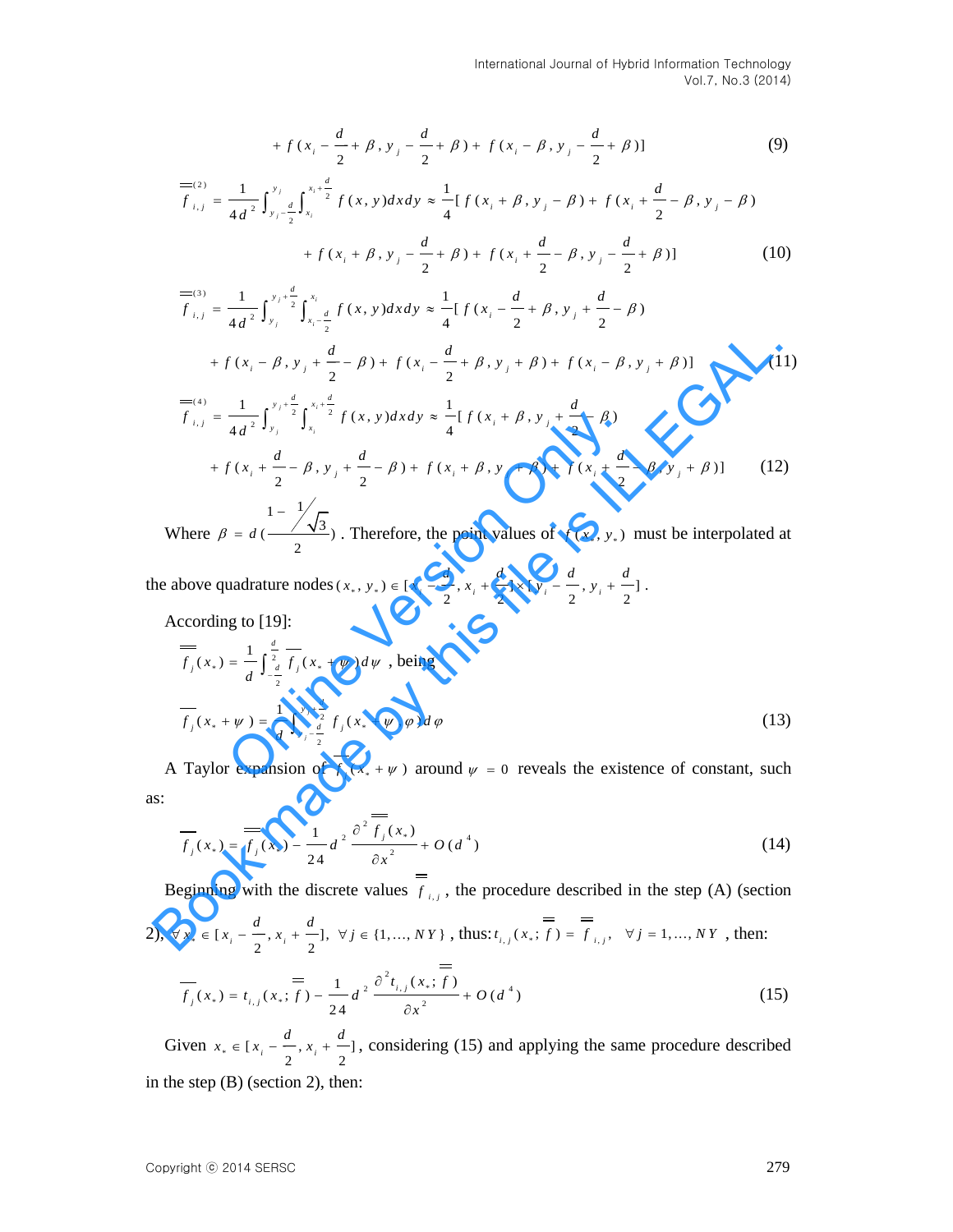+ 
$$
f(x_i - \frac{d}{2} + \beta, y_j - \frac{d}{2} + \beta) + f(x_i - \beta, y_j - \frac{d}{2} + \beta)]
$$
 (9)

$$
+ f(x_i - \frac{d}{2} + \beta, y_j - \frac{d}{2} + \beta) + f(x_i - \beta, y_j - \frac{d}{2} + \beta)]
$$
(9)  

$$
\overline{f}_{i,j}^{(2)} = \frac{1}{4d^2} \int_{y_j - \frac{d}{2}}^{y_j} \int_{x_i}^{x_i + \frac{d}{2}} f(x, y) dx dy \approx \frac{1}{4} [f(x_i + \beta, y_j - \beta) + f(x_i + \frac{d}{2} - \beta, y_j - \beta)] + f(x_i + \beta, y_j - \frac{d}{2} + \beta) + f(x_i + \frac{d}{2} - \beta, y_j - \frac{d}{2} + \beta)]
$$
(10)

$$
+ f(x_i + \beta, y_j - \frac{a}{2} + \beta) + f(x_i + \frac{a}{2} - \beta, y_j - \frac{a}{2} + \beta)] \tag{10}
$$
  

$$
= \frac{1}{f_{i,j}} = \frac{1}{4d^2} \int_{y_j}^{y_j + \frac{d}{2}} \int_{x_i - \frac{d}{2}}^{x_i} f(x, y) dx dy \approx \frac{1}{4} [f(x_i - \frac{d}{2} + \beta, y_j + \frac{d}{2} - \beta) + f(x_i - \beta, y_j + \frac{d}{2} - \beta)] \tag{11}
$$

+ 
$$
f(x_1 = \frac{d}{2} + \beta, y_1 = \frac{d}{2} + \beta) + f(x_2 = \beta, y_1 = \frac{d}{2} + \beta)1
$$
 (9)  
\n
$$
\overline{f}_{i,j}^{(2)} = \frac{1}{4d^2} \int_{y_1 = \frac{d}{2}}^{y_2} \int_{x_1}^{x_2 = \frac{d}{2}} f(x, y) dx dy \approx \frac{1}{4} [f(x_1 + \beta, y_1 - \beta) + f(x_1 + \frac{d}{2} - \beta, y_1 - \beta)] + f(x_1 + \beta, y_1 - \frac{d}{2} + \beta) + f(x_1 + \frac{d}{2} - \beta, y_1 - \frac{d}{2} + \beta)]
$$
 (10)  
\n
$$
\overline{f}_{i,j}^{(3)} = \frac{1}{4d^2} \int_{y_1}^{y_2 = \frac{d}{2}} \int_{y_2 = \frac{d}{2}}^{y_1 = \frac{d}{2}} f(x, y) dx dy \approx \frac{1}{4} [f(x_1 = \frac{d}{2} + \beta, y_1 + \frac{d}{2} - \beta)] + f(x_1 = \beta, y_1 + \frac{d}{2} - \beta) + f(x_1 = \beta, y_1 + \frac{d}{2} - \beta) + f(x_1 = \frac{d}{2} + \beta, y_1 + \beta) + f(x_1 = \beta, y_1 + \beta)]
$$
 (11)  
\n
$$
\overline{f}_{i,j}^{(4)} = \frac{1}{4d^2} \int_{y_1}^{y_1 = \frac{d}{2}} \int_{y_1}^{x_1 = \frac{d}{2}} f(x, y) dx dy \approx \frac{1}{4} [f(x_1 + \beta, y_1 + \frac{d}{2} - \beta)]
$$
 (12)  
\n
$$
\overline{f}_{i,j}^{(4)} = \frac{1}{4d^2} \int_{y_1}^{y_1 = \frac{d}{2}} \int_{y_2}^{x_2 = \frac{d}{2}} f(x, y) dx dy \approx \frac{1}{4} [f(x_1 + \beta, y_1 + \frac{d}{2} - \beta)]
$$
 (12)  
\nWhere  $\beta = d \left( \frac{\sqrt{3}}{2} \right)$ . Therefore, the point values of  $f(x_1, y_1)$  must be interpolated at  
\nthe above quadratic

Where  $\frac{\sqrt{3}}{2}$ 2  $\beta = d$  $\overline{a}$  $= d \left( \frac{\sqrt{v_3}}{2} \right)$ . Therefore, the point values of  $f(x_*, y_*)$  must be interpolated at

the above quadrature nodes  $(x_*, y_*) \in [x_i - \frac{d}{2}, x_i + \frac{d}{2}] \times [y_i - \frac{d}{2}, y_i + \frac{d}{2}]$  $\frac{a}{2}$ ,  $x_i + \frac{a}{2}$   $\frac{a}{2}$   $\frac{y_i - \frac{a}{2}}{2}$ ,  $y_i + \frac{a}{2}$  $f(x_*, y_*) \in [x_i - \frac{d}{2}, x_i + \frac{d}{2}] \times [y_i - \frac{d}{2}, y_i + \frac{d}{2}].$ 

According to [19]:

$$
f_{i,j} = \frac{1}{4d^2} \int_{y_j}^{2} \int_{x_i}^{2} f(x, y) dx dy \approx \frac{1}{4} [f(x_i + \beta, y_j + \frac{1}{2} - \beta)] + f(x_i + \frac{d}{2} - \beta, y_j + \frac{d}{2} - \beta, y_j + \frac{d}{2} - \beta) + f(x_i + \beta, y_j + \beta) + f(x_i + \frac{d}{2} - \beta, y_j + \beta)] \tag{12}
$$
\nWhere  $\beta = d \left( \frac{\sqrt{3}}{2} \right)$ . Therefore, the point values of  $f(x_*, y_*)$  must be interpolated at above quadrature nodes  $(x_*, y_*) \in [x_i - \frac{d}{2}, x_i + \frac{d}{2}] \times [y_i - \frac{d}{2}, y_i + \frac{d}{2}]$ .

\naccording to [19]:

\n
$$
\overline{f}_j(x_*) = \frac{1}{d} \int_{-\frac{d}{2}}^{\frac{d}{2}} \overline{f}_j(x_* + \psi) d\psi
$$
, being\n
$$
\overline{f}_j(x_* + \psi) = \frac{1}{d} \int_{y_j - \frac{d}{2}}^{y_j + \frac{d}{2}} f_j(x_* + \psi, \phi) d\phi \tag{13}
$$
\nTaylor expansion of  $\overline{f}_j(x_* + \psi)$  around  $\psi = 0$  reveals the existence of constant, such

A Taylor expansion of  $f_j(x_* + \psi)$  around  $\psi = 0$  reveals the existence of constant, such as:

$$
\overline{f_j}(x_*) = \frac{1}{f_j}(x_*) - \frac{1}{24}d^2 \frac{\partial^2 \overline{f_j}(x_*)}{\partial x^2} + O(d^4)
$$
\n(14)

Beginning with the discrete values  $f_{i,j}$ , the procedure described in the step (A) (section

2), 
$$
\forall x_* \in [x_i - \frac{d}{2}, x_i + \frac{d}{2}], \forall j \in \{1, ..., NY\}
$$
, thus:  $t_{i,j}(x_*; f) = \overline{f}_{i,j}, \forall j = 1, ..., NY$ , then:  
=

$$
\overline{f_j}(x_*) = t_{i,j}(x_*; \overline{f}) - \frac{1}{24} d^2 \frac{\partial^2 t_{i,j}(x_*; \overline{f})}{\partial x^2} + O(d^4)
$$
\n(15)

Given  $x_* \in [x_i - \frac{a}{n}, x_i + \frac{a}{n}]$  $i = \frac{1}{2}$ ,  $\frac{x_i}{1}$   $\frac{1}{2}$  $x_* \in [x, -\frac{d}{x_*}, x_* + \frac{d}{x_*}]$ , considering (15) and applying the same procedure described in the step (B) (section 2), then: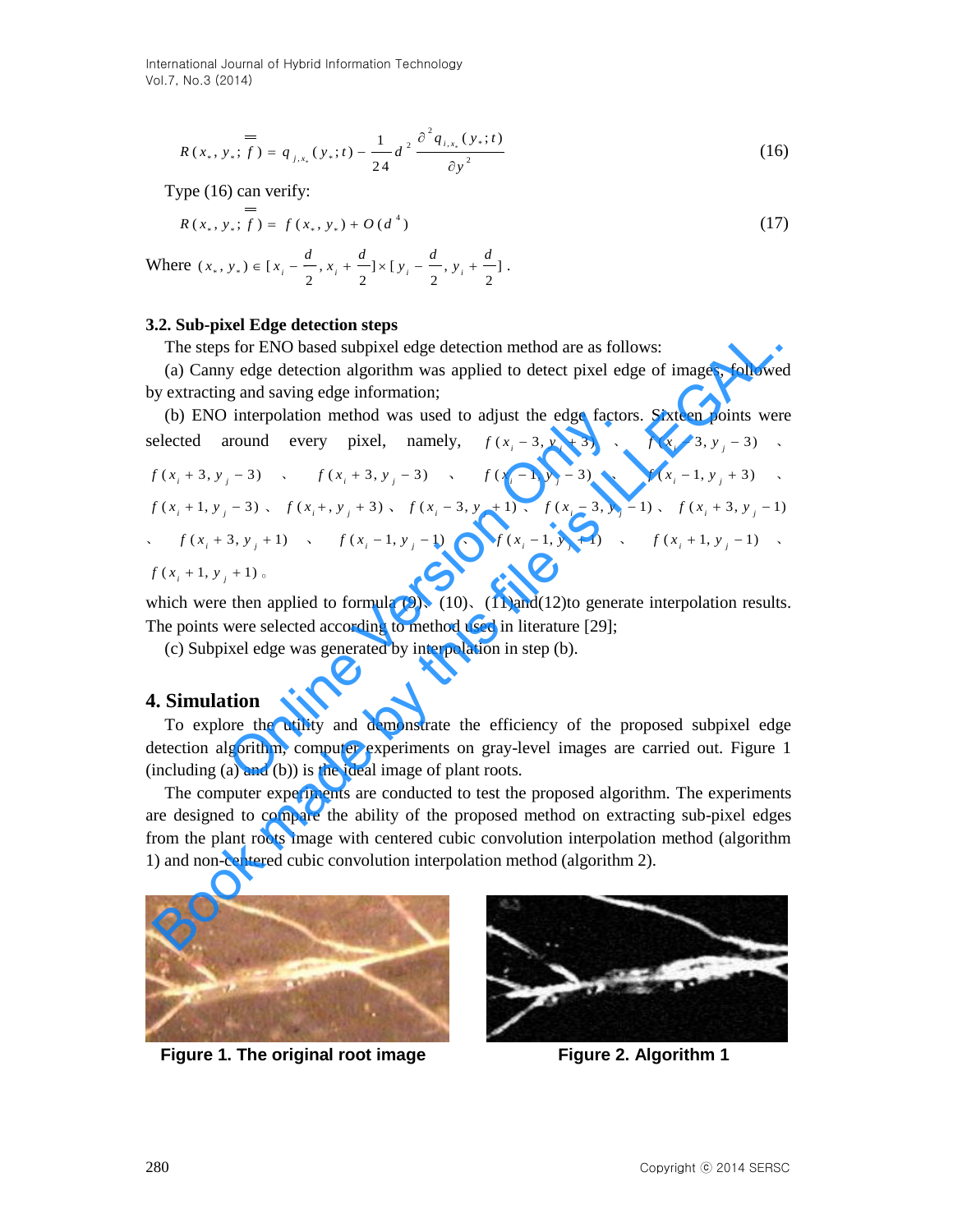International Journal of Hybrid Information Technology Vol.7, No.3 (2014)

$$
= R(x_*, y_*; f) = q_{j,x_*}(y_*; t) - \frac{1}{24} d^{2} \frac{\partial^{2} q_{i,x_*}(y_*; t)}{\partial y^{2}}
$$
(16)

Type (16) can verify:

$$
= R(x_*, y_*; f) = f(x_*, y_*) + O(d^4)
$$
\n(17)

Where 
$$
(x_*, y_*) \in [x_i - \frac{d}{2}, x_i + \frac{d}{2}] \times [y_i - \frac{d}{2}, y_i + \frac{d}{2}].
$$

#### **3.2. Sub-pixel Edge detection steps**

The steps for ENO based subpixel edge detection method are as follows:

(a) Canny edge detection algorithm was applied to detect pixel edge of images, followed by extracting and saving edge information;

 $R(x_1, y_1; t) = q_{y_1}(y_1; t) - \frac{1}{24}d \frac{y_2}{2y^2}$  (16)<br>
Type (16) can verify:<br>
The  $(x_1, y_1; t) = f(x_1, y_1) - U(d^2)$  (17)<br>
Where  $\langle x_1, y_1 \rangle = [f(x_1, y_1) - U(d^2)]$ <br>
Where  $\langle x_1, y_1 \rangle = [f(x_1, y_1) - U(d^2)]$ <br>
Clie sites for ENO based sub (b) ENO interpolation method was used to adjust the edge factors. Sixteen points were selected around every pixel, namely,  $f(x_i - 3, y_j + 3)$ ,  $f(x_i - 3, y_j - 3)$ ,  $f(x_i + 3, y_i - 3)$  *i*  $f(x_i + 3, y_i - 3)$  *i*  $f(x_i - 1, y_i - 3)$  *i*  $f(x_i - 1, y_i + 3)$  *i*  $f(x_i + 1, y_i - 3)$ ,  $f(x_i + y_i + 3)$ ,  $f(x_i - 3, y_i + 1)$ ,  $f(x_i - 3, y_i - 1)$ ,  $f(x_i + 3, y_i - 1)$  $f(x_i + 3, y_i + 1)$  *i*  $f(x_i - 1, y_i - 1)$  *i*  $f(x_i - 1, y_i + 1)$  *i*  $f(x_i + 1, y_i - 1)$  $f(x_i + 1, y_i + 1)$ interpolation method was used to adjust the edge factor<br>
uround every pixel, namely,  $f(x_i - 3, y_j + 3)$ ,<br>  $f(x_i + 3, y_j - 3)$ ,  $f(x_i - 1, y_j - 3)$ ,<br>  $f(x_i + y_j + 3)$ ,  $f(x_i - 3, y_j + 1)$ ,  $f(x_i - 3, y_j - 3)$ ,<br>  $f(x_i + y_j + 3)$ ,  $f(x_i - 3, y_j + 1)$ ,  $f(x$ The steps for ENO based subpixel edge detection method are as follows:<br>
(a) Canny edge detection algorithm was applied to detect pixel edge of images, followe<br>
(b) ENO interpolation method was used to adjust the edge fact

which were then applied to formula  $(9)$ ,  $(10)$ ,  $(11)$ and $(12)$ to generate interpolation results. The points were selected according to method used in literature [29];

(c) Subpixel edge was generated by interpolation in step (b).

#### **4. Simulation**

To explore the utility and demonstrate the efficiency of the proposed subpixel edge detection algorithm, computer experiments on gray-level images are carried out. Figure 1 (including (a) and (b)) is the ideal image of plant roots.

The computer experiments are conducted to test the proposed algorithm. The experiments are designed to compare the ability of the proposed method on extracting sub-pixel edges from the plant roots image with centered cubic convolution interpolation method (algorithm 1) and non-centered cubic convolution interpolation method (algorithm 2).



**Figure 1. The original root image Figure 2. Algorithm 1** 

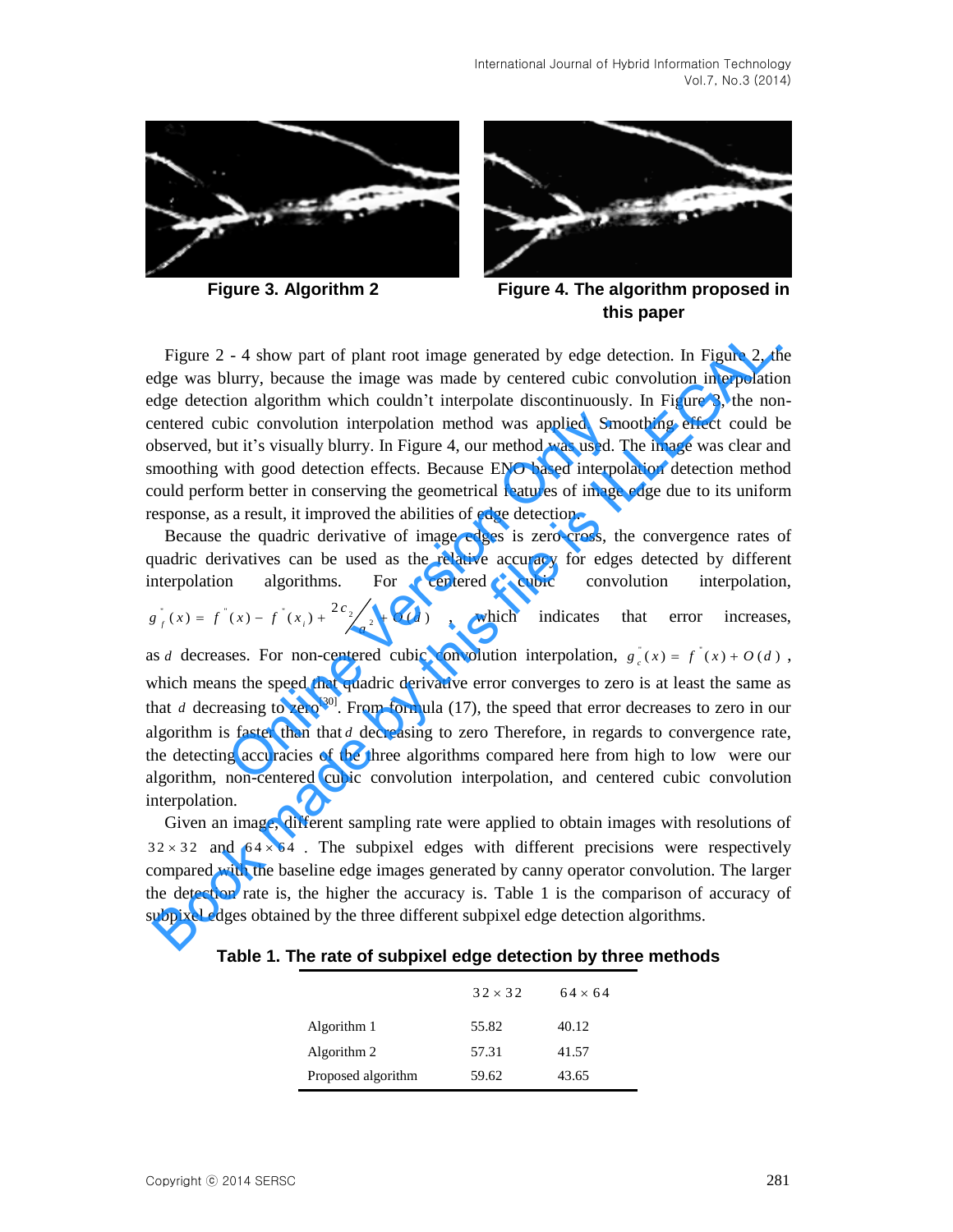



**Figure 3. Algorithm 2 Figure 4. The algorithm proposed in this paper** 

Figure 2 - 4 show part of plant root image generated by edge detection. In Figure 2, the edge was blurry, because the image was made by centered cubic convolution interpolation edge detection algorithm which couldn't interpolate discontinuously. In Figure 3, the noncentered cubic convolution interpolation method was applied. Smoothing effect could be observed, but it's visually blurry. In Figure 4, our method was used. The image was clear and smoothing with good detection effects. Because ENO based interpolation detection method could perform better in conserving the geometrical features of image edge due to its uniform response, as a result, it improved the abilities of edge detection.

Because the quadric derivative of image edges is zero-cross, the convergence rates of quadric derivatives can be used as the relative accuracy for edges detected by different interpolation algorithms. For centered cubic convolution interpolation,  $g \int_{f}^{R}(x) = f(x) - f(x) + \frac{2c_2}{a^2} + O(d)$ , which indicates that error increases, as *d* decreases. For non-centered cubic convolution interpolation,  $g_c(x) = f(x) + O(d)$ , which means the speed that quadric derivative error converges to zero is at least the same as that *d* decreasing to zero<sup>[30]</sup>. From formula (17), the speed that error decreases to zero in our algorithm is faster than that *d* decreasing to zero Therefore, in regards to convergence rate, the detecting accuracies of the three algorithms compared here from high to low were our algorithm, non-centered cubic convolution interpolation, and centered cubic convolution bic convolution interpolation method was applied. Smout it's visually blurry. In Figure 4, our method was used. T<br>with good detection effects. Because ENO based interpol.<br>rm better in conserving the geometrical features o Figure 2 - 4 show part of plant root image generated by edge detection. In Figure 2, th<br>dge was blurry, because the image was made by centered cubic convolution interpolation<br>dge detection algorithm which couldn't interpo

Given an image, different sampling rate were applied to obtain images with resolutions of  $32 \times 32$  and  $64 \times 64$ . The subpixel edges with different precisions were respectively compared with the baseline edge images generated by canny operator convolution. The larger the detection rate is, the higher the accuracy is. Table 1 is the comparison of accuracy of subpixel edges obtained by the three different subpixel edge detection algorithms.

**Table 1. The rate of subpixel edge detection by three methods**

|                    | $32 \times 32$ | $64 \times 64$ |
|--------------------|----------------|----------------|
| Algorithm 1        | 55.82          | 40.12          |
| Algorithm 2        | 57.31          | 41.57          |
| Proposed algorithm | 59.62          | 43.65          |

interpolation.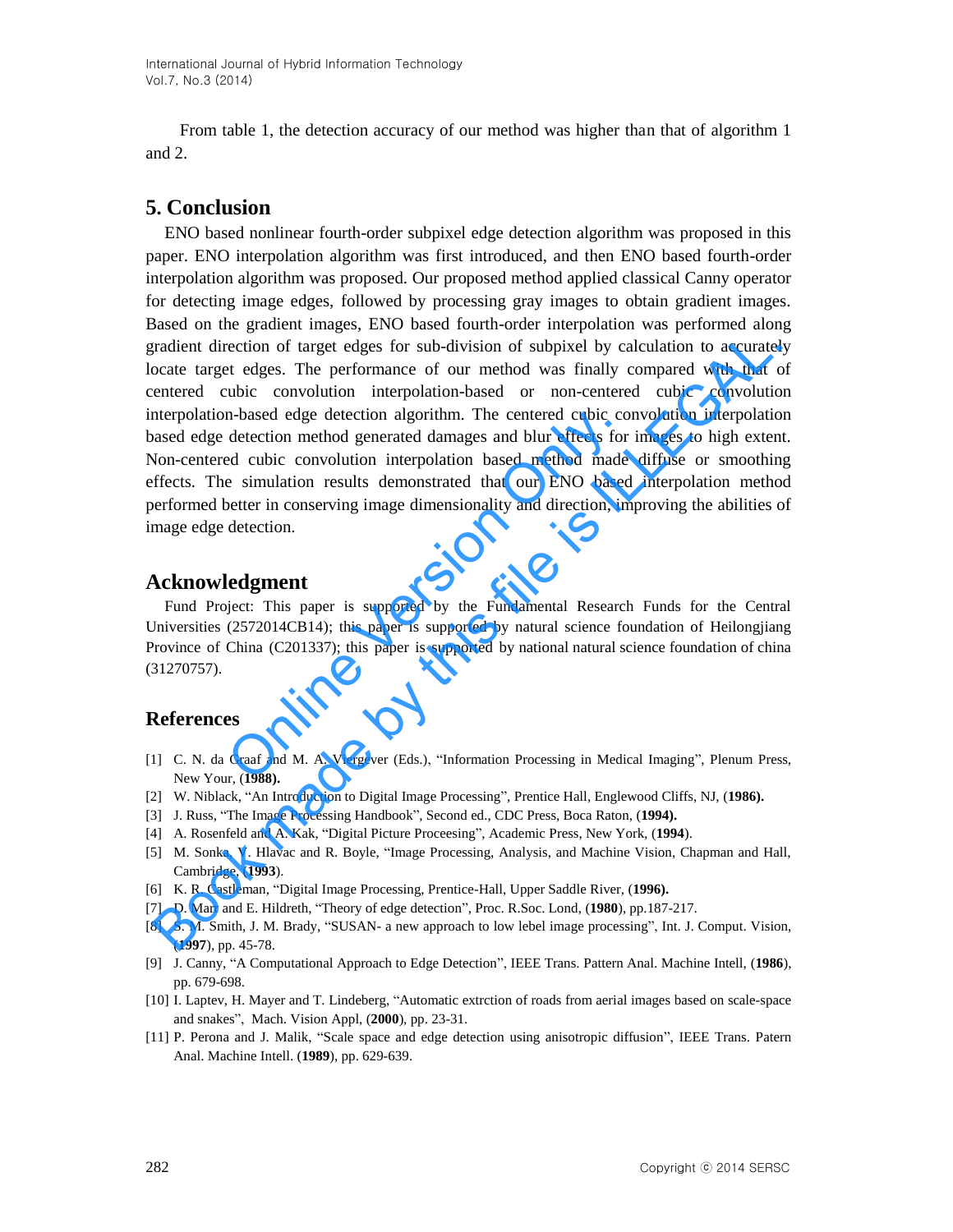From table 1, the detection accuracy of our method was higher than that of algorithm 1 and 2.

# **5. Conclusion**

ENO based nonlinear fourth-order subpixel edge detection algorithm was proposed in this paper. ENO interpolation algorithm was first introduced, and then ENO based fourth-order interpolation algorithm was proposed. Our proposed method applied classical Canny operator for detecting image edges, followed by processing gray images to obtain gradient images. Based on the gradient images, ENO based fourth-order interpolation was performed along gradient direction of target edges for sub-division of subpixel by calculation to accurately locate target edges. The performance of our method was finally compared with that of centered cubic convolution interpolation-based or non-centered cubic convolution interpolation-based edge detection algorithm. The centered cubic convolution interpolation based edge detection method generated damages and blur effects for images to high extent. Non-centered cubic convolution interpolation based method made diffuse or smoothing effects. The simulation results demonstrated that our ENO based interpolation method performed better in conserving image dimensionality and direction, improving the abilities of image edge detection. In-based edge detection algorithm. The centered cubic condetection method generated damages and blur effects for ed cubic convolution interpolation based method made a simulation results demonstrated that our ENO based bet rradient direction of target edges for sub-division of subpixel by calculation to accurate<br>cocate target edges. The performance of our method was finally compared with that centered cubic convolution interpolation-based of

## **Acknowledgment**

Fund Project: This paper is supported by the Fundamental Research Funds for the Central Universities (2572014CB14); this paper is supported by natural science foundation of Heilongjiang Province of China (C201337); this paper is supported by national natural science foundation of china (31270757).

# **References**

- [1] C. N. da Graaf and M. A. Viergever (Eds.), "Information Processing in Medical Imaging", Plenum Press, New Your, (**1988).**
- [2] W. Niblack, "An Introduction to Digital Image Processing", Prentice Hall, Englewood Cliffs, NJ, (**1986).**
- [3] J. Russ, "The Image Processing Handbook", Second ed., CDC Press, Boca Raton, (**1994).**
- [4] A. Rosenfeld and A. Kak, "Digital Picture Proceesing", Academic Press, New York, (**1994**).
- [5] M. Sonka, V. Hlavac and R. Boyle, "Image Processing, Analysis, and Machine Vision, Chapman and Hall, Cambridge, (**1993**).
- [6] K. R. Castleman, "Digital Image Processing, Prentice-Hall, Upper Saddle River, (**1996).**
- [7] D. Marr and E. Hildreth, "Theory of edge detection", Proc. R.Soc. Lond, (**1980**), pp.187-217.
- [8] S. M. Smith, J. M. Brady, "SUSAN- a new approach to low lebel image processing", Int. J. Comput. Vision, (**1997**), pp. 45-78.
- [9] J. Canny, "A Computational Approach to Edge Detection", IEEE Trans. Pattern Anal. Machine Intell, (**1986**), pp. 679-698.
- [10] I. Laptev, H. Mayer and T. Lindeberg, "Automatic extrction of roads from aerial images based on scale-space and snakes", Mach. Vision Appl, (**2000**), pp. 23-31.
- [11] P. Perona and J. Malik, "Scale space and edge detection using anisotropic diffusion", IEEE Trans. Patern Anal. Machine Intell. (**1989**), pp. 629-639.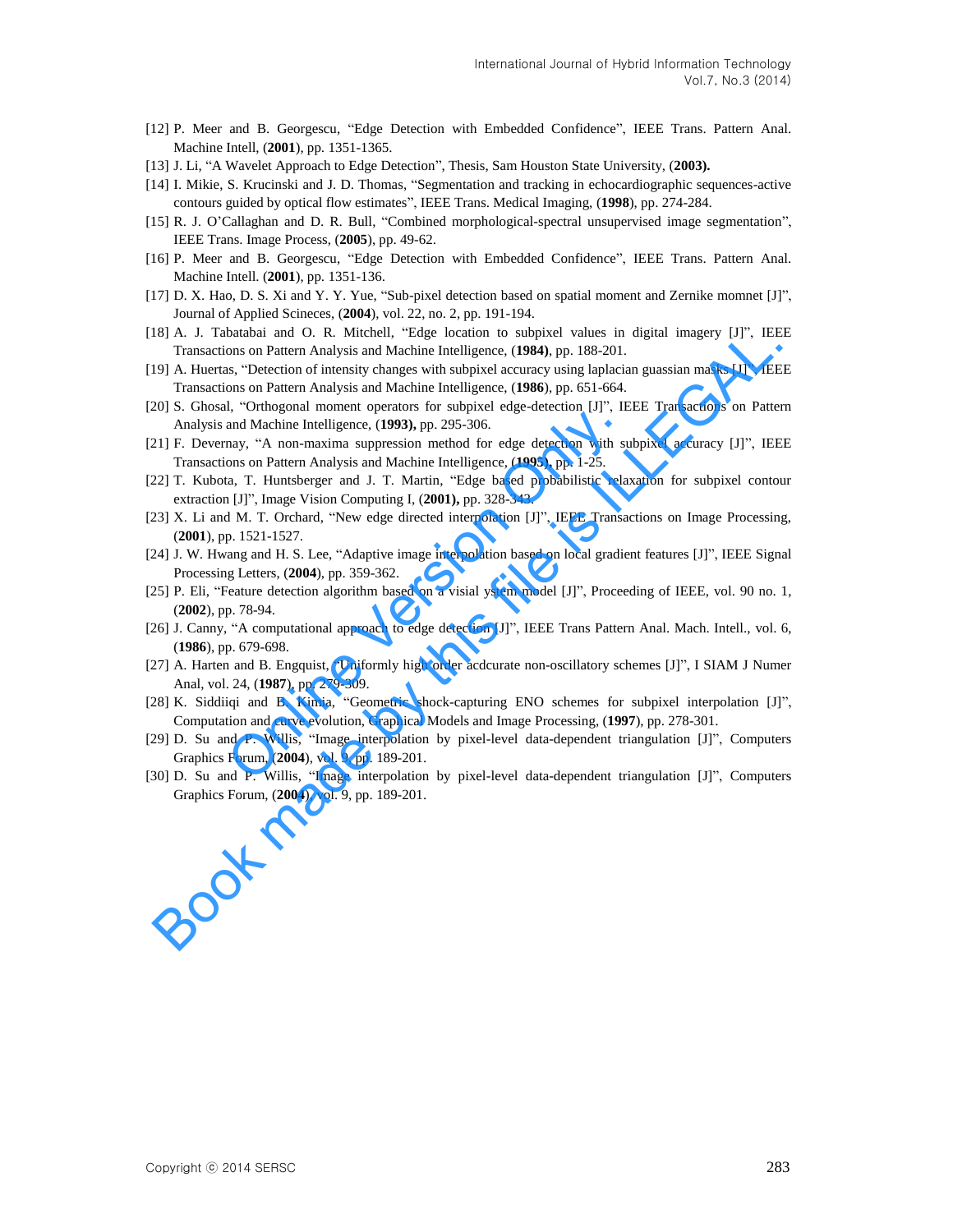- [12] P. Meer and B. Georgescu, "Edge Detection with Embedded Confidence", IEEE Trans. Pattern Anal. Machine Intell, (**2001**), pp. 1351-1365.
- [13] J. Li, "A Wavelet Approach to Edge Detection", Thesis, Sam Houston State University, (**2003).**
- [14] I. Mikie, S. Krucinski and J. D. Thomas, "Segmentation and tracking in echocardiographic sequences-active contours guided by optical flow estimates", IEEE Trans. Medical Imaging, (**1998**), pp. 274-284.
- [15] R. J. O'Callaghan and D. R. Bull, "Combined morphological-spectral unsupervised image segmentation", IEEE Trans. Image Process, (**2005**), pp. 49-62.
- [16] P. Meer and B. Georgescu, "Edge Detection with Embedded Confidence", IEEE Trans. Pattern Anal. Machine Intell. (**2001**), pp. 1351-136.
- [17] D. X. Hao, D. S. Xi and Y. Y. Yue, "Sub-pixel detection based on spatial moment and Zernike momnet [J]", Journal of Applied Scineces, (**2004**), vol. 22, no. 2, pp. 191-194.
- [18] A. J. Tabatabai and O. R. Mitchell, "Edge location to subpixel values in digital imagery [J]", IEEE Transactions on Pattern Analysis and Machine Intelligence, (**1984)**, pp. 188-201.
- [19] A. Huertas, "Detection of intensity changes with subpixel accuracy using laplacian guassian masks [J]", IEEE Transactions on Pattern Analysis and Machine Intelligence, (**1986**), pp. 651-664. IS A. J. Tachatona and O. R. Michelli, "Edge locaton to sampler values in digital imagery [J]", IEE<br>
Transactions on Pattern Analysis and Machine Intelligence, (1984) pp. 188-201.<br>
Transactions on Pattern Analysis and Mach
- [20] S. Ghosal, "Orthogonal moment operators for subpixel edge-detection [J]", IEEE Transactions on Pattern Analysis and Machine Intelligence, (**1993),** pp. 295-306.
- [21] F. Devernay, "A non-maxima suppression method for edge detection with subpixel accuracy [J]", IEEE Transactions on Pattern Analysis and Machine Intelligence, (**1995),** pp. 1-25. Ince, (1993), pp. 295-306.<br>nee, (1993), pp. 295-306.<br>suppression method for edge detection with su<br>is and Machine Intelligence, (1995), pp. 1-25.<br>d J. T. Martin, "Edge based probabilistic rela:<br>omputing I, (2001), pp. 328-
- [22] T. Kubota, T. Huntsberger and J. T. Martin, "Edge based probabilistic relaxation for subpixel contour extraction [J]", Image Vision Computing I, (**2001),** pp. 328-343.
- [23] X. Li and M. T. Orchard, "New edge directed interpolation [J]", IEEE Transactions on Image Processing, (**2001**), pp. 1521-1527.
- [24] J. W. Hwang and H. S. Lee, "Adaptive image interpolation based on local gradient features [J]", IEEE Signal Processing Letters, (**2004**), pp. 359-362.
- [25] P. Eli, "Feature detection algorithm based on a visial ystem model [J]", Proceeding of IEEE, vol. 90 no. 1, (**2002**), pp. 78-94.
- [26] J. Canny, "A computational approach to edge detection [J]", IEEE Trans Pattern Anal. Mach. Intell., vol. 6, (**1986**), pp. 679-698.
- [27] A. Harten and B. Engquist, "Uniformly high order acdcurate non-oscillatory schemes [J]", I SIAM J Numer Anal, vol. 24, (**1987**), pp. 279-309. [37] A. Harten and B. Engquist, "Uniformly high order acdcurate non-oscillatory schemes [J]", I SIAM J Numer<br>Anal, vol. 24, (1987), pp. 279-309.<br>[28] K. Siddiqi and B. Kimia, "Geometric shock-capturing ENO schemes for subp
- [28] K. Siddiiqi and B. Kimia, "Geometric shock-capturing ENO schemes for subpixel interpolation [J]", Computation and curve evolution, Graphical Models and Image Processing, (**1997**), pp. 278-301.
- [29] D. Su and P. Willis, "Image interpolation by pixel-level data-dependent triangulation [J]", Computers Graphics Forum, (**2004**), vol. 9, pp. 189-201.
- Graphics Forum, ( **2004**), vol. 9, pp. 189-201.